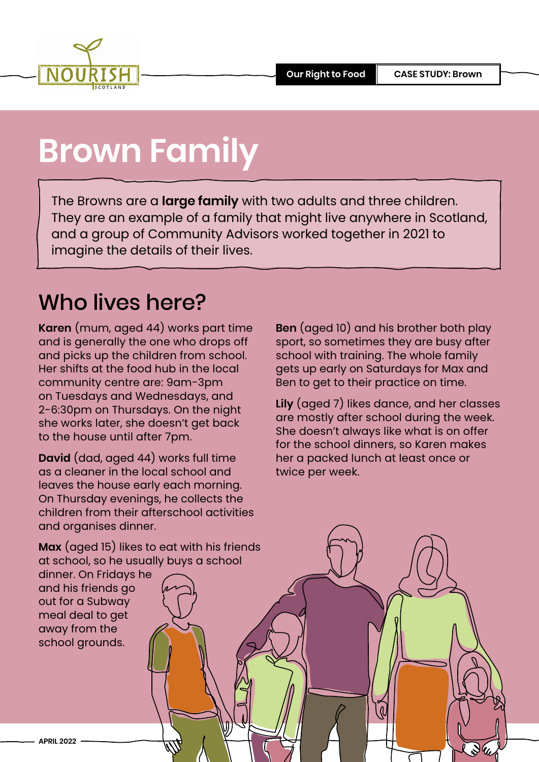

### **Brown Family**

The Browns are a **large family** with two adults and three children. They are an example of a family that might live anywhere in Scotland, and a group of Community Advisors worked together in 2021 to imagine the details of their lives.

### Who lives here?

**Karen** (mum, aged 44) works part time and is generally the one who drops off and picks up the children from school. Her shifts at the food hub in the local community centre are: 9am-3pm on Tuesdays and Wednesdays, and 2-6:30pm on Thursdays. On the night she works later, she doesn't get back to the house until after 7pm.

**David** (dad, aged 44) works full time as a cleaner in the local school and leaves the house early each morning. On Thursday evenings, he collects the children from their afterschool activities and organises dinner.

**Ben** (aged 10) and his brother both play sport, so sometimes they are busy after school with training. The whole family gets up early on Saturdays for Max and Ben to get to their practice on time.

**Lily** (aged 7) likes dance, and her classes are mostly after school during the week. She doesn't always like what is on offer for the school dinners, so Karen makes her a packed lunch at least once or twice per week.

**Max** (aged 15) likes to eat with his friends at school, so he usually buys a school

dinner. On Fridays he and his friends go out for a Subway meal deal to get away from the school grounds.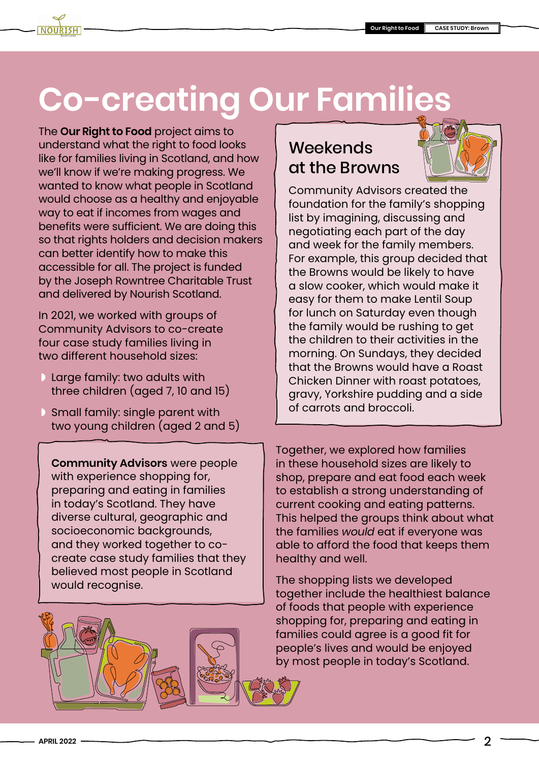### **Co-creating Our Families**

The **[Our Right to Food](https://www.nourishscotland.org/projects/our-right-to-food/)** project aims to understand what the right to food looks like for families living in Scotland, and how we'll know if we're making progress. We wanted to know what people in Scotland would choose as a healthy and enjoyable way to eat if incomes from wages and benefits were sufficient. We are doing this so that rights holders and decision makers can better identify how to make this accessible for all. The project is funded by the Joseph Rowntree Charitable Trust and delivered by Nourish Scotland.

In 2021, we worked with groups of Community Advisors to co-create four case study families living in two different household sizes:

- ◗ Large family: two adults with three children (aged 7, 10 and 15)
- ◗ Small family: single parent with two young children (aged 2 and 5)

**Community Advisors** were people with experience shopping for, preparing and eating in families in today's Scotland. They have diverse cultural, geographic and socioeconomic backgrounds, and they worked together to cocreate case study families that they believed most people in Scotland would recognise.



#### **Weekends** at the Browns



Community Advisors created the foundation for the family's shopping list by imagining, discussing and negotiating each part of the day and week for the family members. For example, this group decided that the Browns would be likely to have a slow cooker, which would make it easy for them to make Lentil Soup for lunch on Saturday even though the family would be rushing to get the children to their activities in the morning. On Sundays, they decided that the Browns would have a Roast Chicken Dinner with roast potatoes, gravy, Yorkshire pudding and a side of carrots and broccoli.

Together, we explored how families in these household sizes are likely to shop, prepare and eat food each week to establish a strong understanding of current cooking and eating patterns. This helped the groups think about what the families *would* eat if everyone was able to afford the food that keeps them healthy and well.

The shopping lists we developed together include the healthiest balance of foods that people with experience shopping for, preparing and eating in families could agree is a good fit for people's lives and would be enjoyed by most people in today's Scotland.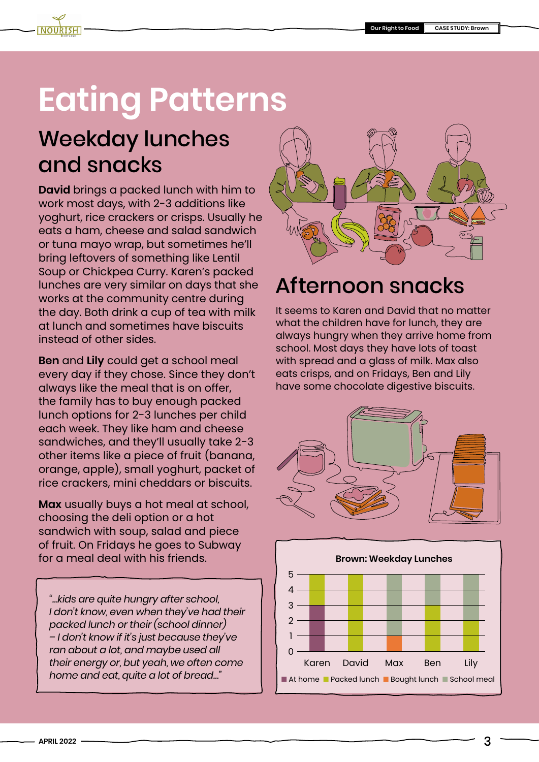### **Eating Patterns**

### Weekday lunches and snacks

**David** brings a packed lunch with him to work most days, with 2-3 additions like yoghurt, rice crackers or crisps. Usually he eats a ham, cheese and salad sandwich or tuna mayo wrap, but sometimes he'll bring leftovers of something like Lentil Soup or Chickpea Curry. Karen's packed lunches are very similar on days that she works at the community centre during the day. Both drink a cup of tea with milk at lunch and sometimes have biscuits instead of other sides.

**Ben** and **Lily** could get a school meal every day if they chose. Since they don't always like the meal that is on offer, the family has to buy enough packed lunch options for 2-3 lunches per child each week. They like ham and cheese sandwiches, and they'll usually take 2-3 other items like a piece of fruit (banana, orange, apple), small yoghurt, packet of rice crackers, mini cheddars or biscuits.

**Max** usually buys a hot meal at school, choosing the deli option or a hot sandwich with soup, salad and piece of fruit. On Fridays he goes to Subway for a meal deal with his friends.

*"…kids are quite hungry after school, I don't know, even when they've had their packed lunch or their (school dinner) – I don't know if it's just because they've ran about a lot, and maybe used all their energy or, but yeah, we often come home and eat, quite a lot of bread…"*



#### Afternoon snacks

It seems to Karen and David that no matter what the children have for lunch, they are always hungry when they arrive home from school. Most days they have lots of toast with spread and a glass of milk. Max also eats crisps, and on Fridays, Ben and Lily have some chocolate digestive biscuits.



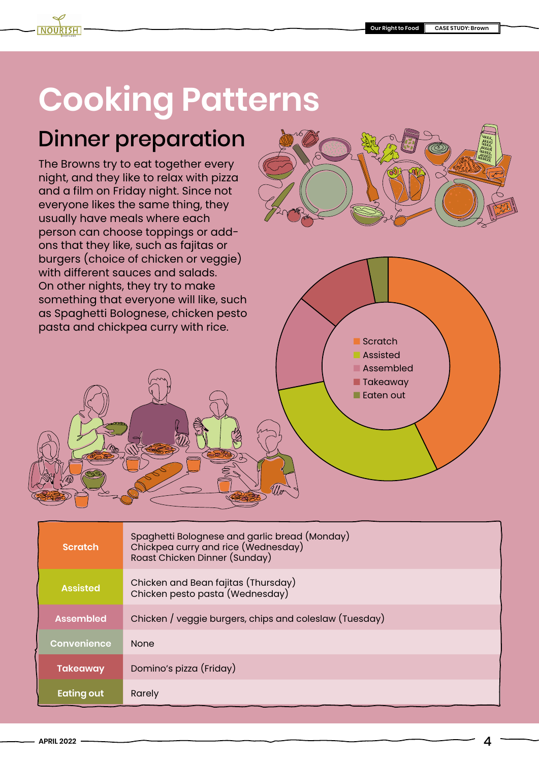## **Cooking Patterns**

### Dinner preparation

The Browns try to eat together every night, and they like to relax with pizza and a film on Friday night. Since not everyone likes the same thing, they usually have meals where each person can choose toppings or addons that they like, such as fajitas or burgers (choice of chicken or veggie) with different sauces and salads. On other nights, they try to make something that everyone will like, such as Spaghetti Bolognese, chicken pesto pasta and chickpea curry with rice.



- Scratch
	- **Assisted**
- Assembled ■ Takeaway
- Eaten out

| <b>Scratch</b>    | Spaghetti Bolognese and garlic bread (Monday)<br>Chickpea curry and rice (Wednesday)<br>Roast Chicken Dinner (Sunday) |
|-------------------|-----------------------------------------------------------------------------------------------------------------------|
| <b>Assisted</b>   | Chicken and Bean fajitas (Thursday)<br>Chicken pesto pasta (Wednesday)                                                |
| <b>Assembled</b>  | Chicken / veggie burgers, chips and coleslaw (Tuesday)                                                                |
| Convenience       | <b>None</b>                                                                                                           |
| <b>Takeaway</b>   | Domino's pizza (Friday)                                                                                               |
| <b>Eating out</b> | Rarely                                                                                                                |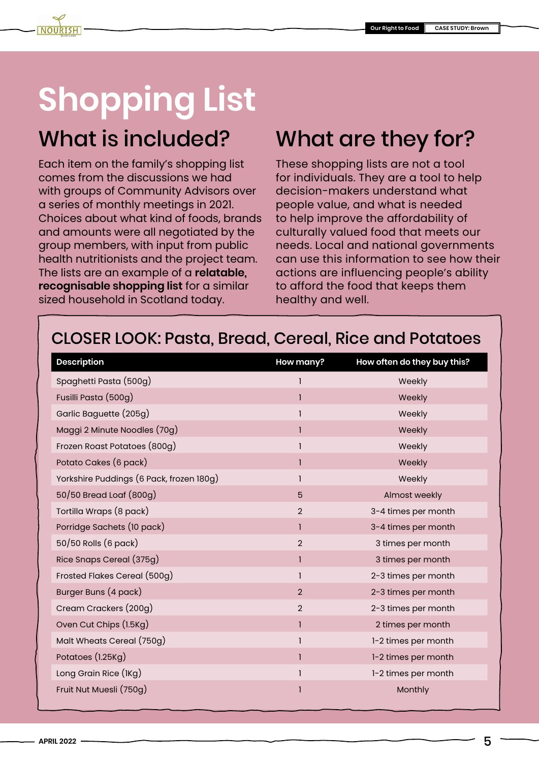# **Shopping List**

### What is included?

Each item on the family's shopping list comes from the discussions we had with groups of Community Advisors over a series of monthly meetings in 2021. Choices about what kind of foods, brands and amounts were all negotiated by the group members, with input from public health nutritionists and the project team. The lists are an example of a **relatable, recognisable shopping list** for a similar sized household in Scotland today.

### What are they for?

These shopping lists are not a tool for individuals. They are a tool to help decision-makers understand what people value, and what is needed to help improve the affordability of culturally valued food that meets our needs. Local and national governments can use this information to see how their actions are influencing people's ability to afford the food that keeps them healthy and well.

#### CLOSER LOOK: Pasta, Bread, Cereal, Rice and Potatoes

| <b>Description</b>                       | How many?      | How often do they buy this? |
|------------------------------------------|----------------|-----------------------------|
| Spaghetti Pasta (500g)                   |                | Weekly                      |
| Fusilli Pasta (500g)                     | 1              | Weekly                      |
| Garlic Baguette (205g)                   |                | Weekly                      |
| Maggi 2 Minute Noodles (70g)             | 1              | Weekly                      |
| Frozen Roast Potatoes (800g)             | 1              | Weekly                      |
| Potato Cakes (6 pack)                    | 1              | Weekly                      |
| Yorkshire Puddings (6 Pack, frozen 180g) |                | Weekly                      |
| 50/50 Bread Loaf (800g)                  | $5\phantom{.}$ | Almost weekly               |
| Tortilla Wraps (8 pack)                  | $\overline{2}$ | 3-4 times per month         |
| Porridge Sachets (10 pack)               | 1              | 3-4 times per month         |
| 50/50 Rolls (6 pack)                     | $\overline{2}$ | 3 times per month           |
| Rice Snaps Cereal (375g)                 | 1              | 3 times per month           |
| Frosted Flakes Cereal (500g)             | 1              | 2-3 times per month         |
| Burger Buns (4 pack)                     | $\overline{2}$ | 2-3 times per month         |
| Cream Crackers (200g)                    | $\overline{2}$ | 2-3 times per month         |
| Oven Cut Chips (1.5Kg)                   | 1              | 2 times per month           |
| Malt Wheats Cereal (750g)                | 1              | 1-2 times per month         |
| Potatoes (1.25Kg)                        | 1              | 1-2 times per month         |
| Long Grain Rice (IKg)                    | 1              | 1-2 times per month         |
| Fruit Nut Muesli (750g)                  | 1              | Monthly                     |